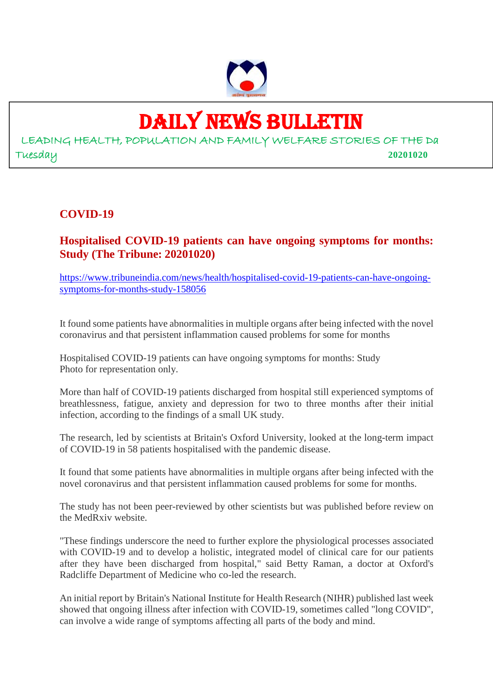

# DAILY NEWS BULLETIN

LEADING HEALTH, POPULATION AND FAMILY WELFARE STORIES OF THE Da Tuesday **20201020**

#### **COVID-19**

#### **Hospitalised COVID-19 patients can have ongoing symptoms for months: Study (The Tribune: 20201020)**

https://www.tribuneindia.com/news/health/hospitalised-covid-19-patients-can-have-ongoingsymptoms-for-months-study-158056

It found some patients have abnormalities in multiple organs after being infected with the novel coronavirus and that persistent inflammation caused problems for some for months

Hospitalised COVID-19 patients can have ongoing symptoms for months: Study Photo for representation only.

More than half of COVID-19 patients discharged from hospital still experienced symptoms of breathlessness, fatigue, anxiety and depression for two to three months after their initial infection, according to the findings of a small UK study.

The research, led by scientists at Britain's Oxford University, looked at the long-term impact of COVID-19 in 58 patients hospitalised with the pandemic disease.

It found that some patients have abnormalities in multiple organs after being infected with the novel coronavirus and that persistent inflammation caused problems for some for months.

The study has not been peer-reviewed by other scientists but was published before review on the MedRxiv website.

"These findings underscore the need to further explore the physiological processes associated with COVID-19 and to develop a holistic, integrated model of clinical care for our patients after they have been discharged from hospital," said Betty Raman, a doctor at Oxford's Radcliffe Department of Medicine who co-led the research.

An initial report by Britain's National Institute for Health Research (NIHR) published last week showed that ongoing illness after infection with COVID-19, sometimes called "long COVID", can involve a wide range of symptoms affecting all parts of the body and mind.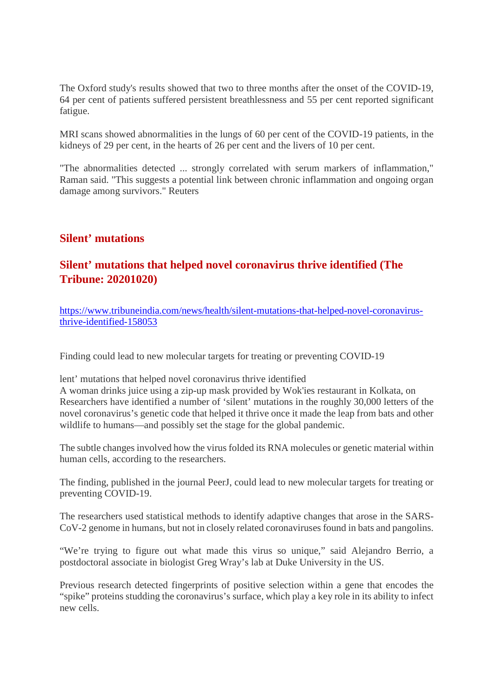The Oxford study's results showed that two to three months after the onset of the COVID-19, 64 per cent of patients suffered persistent breathlessness and 55 per cent reported significant fatigue.

MRI scans showed abnormalities in the lungs of 60 per cent of the COVID-19 patients, in the kidneys of 29 per cent, in the hearts of 26 per cent and the livers of 10 per cent.

"The abnormalities detected ... strongly correlated with serum markers of inflammation," Raman said. "This suggests a potential link between chronic inflammation and ongoing organ damage among survivors." Reuters

#### **Silent' mutations**

#### **Silent' mutations that helped novel coronavirus thrive identified (The Tribune: 20201020)**

https://www.tribuneindia.com/news/health/silent-mutations-that-helped-novel-coronavirusthrive-identified-158053

Finding could lead to new molecular targets for treating or preventing COVID-19

lent' mutations that helped novel coronavirus thrive identified

A woman drinks juice using a zip-up mask provided by Wok'ies restaurant in Kolkata, on Researchers have identified a number of 'silent' mutations in the roughly 30,000 letters of the novel coronavirus's genetic code that helped it thrive once it made the leap from bats and other wildlife to humans—and possibly set the stage for the global pandemic.

The subtle changes involved how the virus folded its RNA molecules or genetic material within human cells, according to the researchers.

The finding, published in the journal PeerJ, could lead to new molecular targets for treating or preventing COVID-19.

The researchers used statistical methods to identify adaptive changes that arose in the SARS-CoV-2 genome in humans, but not in closely related coronaviruses found in bats and pangolins.

"We're trying to figure out what made this virus so unique," said Alejandro Berrio, a postdoctoral associate in biologist Greg Wray's lab at Duke University in the US.

Previous research detected fingerprints of positive selection within a gene that encodes the "spike" proteins studding the coronavirus's surface, which play a key role in its ability to infect new cells.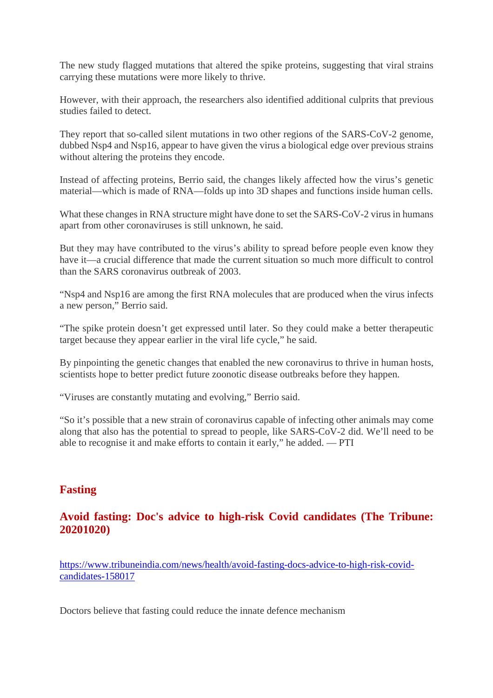The new study flagged mutations that altered the spike proteins, suggesting that viral strains carrying these mutations were more likely to thrive.

However, with their approach, the researchers also identified additional culprits that previous studies failed to detect.

They report that so-called silent mutations in two other regions of the SARS-CoV-2 genome, dubbed Nsp4 and Nsp16, appear to have given the virus a biological edge over previous strains without altering the proteins they encode.

Instead of affecting proteins, Berrio said, the changes likely affected how the virus's genetic material—which is made of RNA—folds up into 3D shapes and functions inside human cells.

What these changes in RNA structure might have done to set the SARS-CoV-2 virus in humans apart from other coronaviruses is still unknown, he said.

But they may have contributed to the virus's ability to spread before people even know they have it—a crucial difference that made the current situation so much more difficult to control than the SARS coronavirus outbreak of 2003.

"Nsp4 and Nsp16 are among the first RNA molecules that are produced when the virus infects a new person," Berrio said.

"The spike protein doesn't get expressed until later. So they could make a better therapeutic target because they appear earlier in the viral life cycle," he said.

By pinpointing the genetic changes that enabled the new coronavirus to thrive in human hosts, scientists hope to better predict future zoonotic disease outbreaks before they happen.

"Viruses are constantly mutating and evolving," Berrio said.

"So it's possible that a new strain of coronavirus capable of infecting other animals may come along that also has the potential to spread to people, like SARS-CoV-2 did. We'll need to be able to recognise it and make efforts to contain it early," he added. — PTI

#### **Fasting**

#### **Avoid fasting: Doc's advice to high-risk Covid candidates (The Tribune: 20201020)**

https://www.tribuneindia.com/news/health/avoid-fasting-docs-advice-to-high-risk-covidcandidates-158017

Doctors believe that fasting could reduce the innate defence mechanism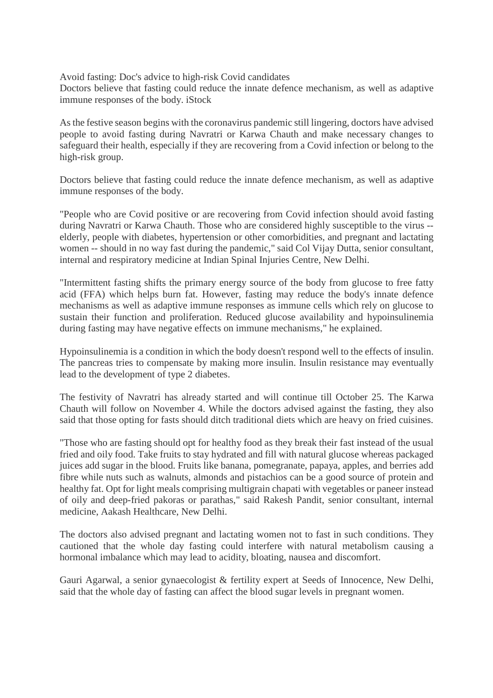Avoid fasting: Doc's advice to high-risk Covid candidates

Doctors believe that fasting could reduce the innate defence mechanism, as well as adaptive immune responses of the body. iStock

As the festive season begins with the coronavirus pandemic still lingering, doctors have advised people to avoid fasting during Navratri or Karwa Chauth and make necessary changes to safeguard their health, especially if they are recovering from a Covid infection or belong to the high-risk group.

Doctors believe that fasting could reduce the innate defence mechanism, as well as adaptive immune responses of the body.

"People who are Covid positive or are recovering from Covid infection should avoid fasting during Navratri or Karwa Chauth. Those who are considered highly susceptible to the virus - elderly, people with diabetes, hypertension or other comorbidities, and pregnant and lactating women -- should in no way fast during the pandemic," said Col Vijay Dutta, senior consultant, internal and respiratory medicine at Indian Spinal Injuries Centre, New Delhi.

"Intermittent fasting shifts the primary energy source of the body from glucose to free fatty acid (FFA) which helps burn fat. However, fasting may reduce the body's innate defence mechanisms as well as adaptive immune responses as immune cells which rely on glucose to sustain their function and proliferation. Reduced glucose availability and hypoinsulinemia during fasting may have negative effects on immune mechanisms," he explained.

Hypoinsulinemia is a condition in which the body doesn't respond well to the effects of insulin. The pancreas tries to compensate by making more insulin. Insulin resistance may eventually lead to the development of type 2 diabetes.

The festivity of Navratri has already started and will continue till October 25. The Karwa Chauth will follow on November 4. While the doctors advised against the fasting, they also said that those opting for fasts should ditch traditional diets which are heavy on fried cuisines.

"Those who are fasting should opt for healthy food as they break their fast instead of the usual fried and oily food. Take fruits to stay hydrated and fill with natural glucose whereas packaged juices add sugar in the blood. Fruits like banana, pomegranate, papaya, apples, and berries add fibre while nuts such as walnuts, almonds and pistachios can be a good source of protein and healthy fat. Opt for light meals comprising multigrain chapati with vegetables or paneer instead of oily and deep-fried pakoras or parathas," said Rakesh Pandit, senior consultant, internal medicine, Aakash Healthcare, New Delhi.

The doctors also advised pregnant and lactating women not to fast in such conditions. They cautioned that the whole day fasting could interfere with natural metabolism causing a hormonal imbalance which may lead to acidity, bloating, nausea and discomfort.

Gauri Agarwal, a senior gynaecologist & fertility expert at Seeds of Innocence, New Delhi, said that the whole day of fasting can affect the blood sugar levels in pregnant women.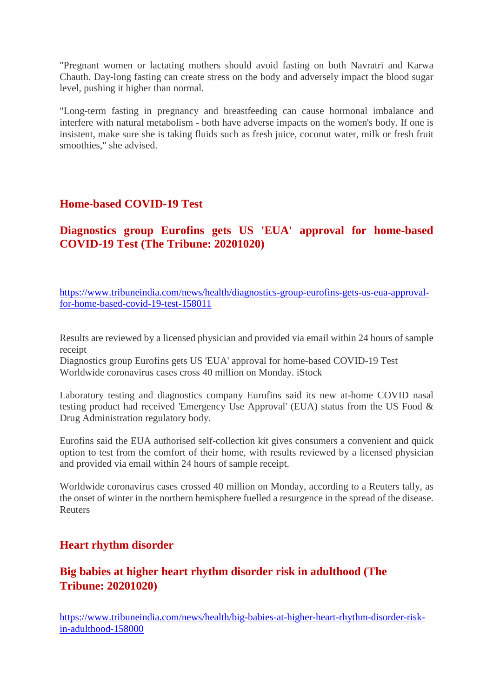"Pregnant women or lactating mothers should avoid fasting on both Navratri and Karwa Chauth. Day-long fasting can create stress on the body and adversely impact the blood sugar level, pushing it higher than normal.

"Long-term fasting in pregnancy and breastfeeding can cause hormonal imbalance and interfere with natural metabolism - both have adverse impacts on the women's body. If one is insistent, make sure she is taking fluids such as fresh juice, coconut water, milk or fresh fruit smoothies," she advised.

#### **Home-based COVID-19 Test**

**Diagnostics group Eurofins gets US 'EUA' approval for home-based COVID-19 Test (The Tribune: 20201020)**

https://www.tribuneindia.com/news/health/diagnostics-group-eurofins-gets-us-eua-approvalfor-home-based-covid-19-test-158011

Results are reviewed by a licensed physician and provided via email within 24 hours of sample receipt

Diagnostics group Eurofins gets US 'EUA' approval for home-based COVID-19 Test Worldwide coronavirus cases cross 40 million on Monday. iStock

Laboratory testing and diagnostics company Eurofins said its new at-home COVID nasal testing product had received 'Emergency Use Approval' (EUA) status from the US Food & Drug Administration regulatory body.

Eurofins said the EUA authorised self-collection kit gives consumers a convenient and quick option to test from the comfort of their home, with results reviewed by a licensed physician and provided via email within 24 hours of sample receipt.

Worldwide coronavirus cases crossed 40 million on Monday, according to a Reuters tally, as the onset of winter in the northern hemisphere fuelled a resurgence in the spread of the disease. Reuters

#### **Heart rhythm disorder**

#### **Big babies at higher heart rhythm disorder risk in adulthood (The Tribune: 20201020)**

https://www.tribuneindia.com/news/health/big-babies-at-higher-heart-rhythm-disorder-riskin-adulthood-158000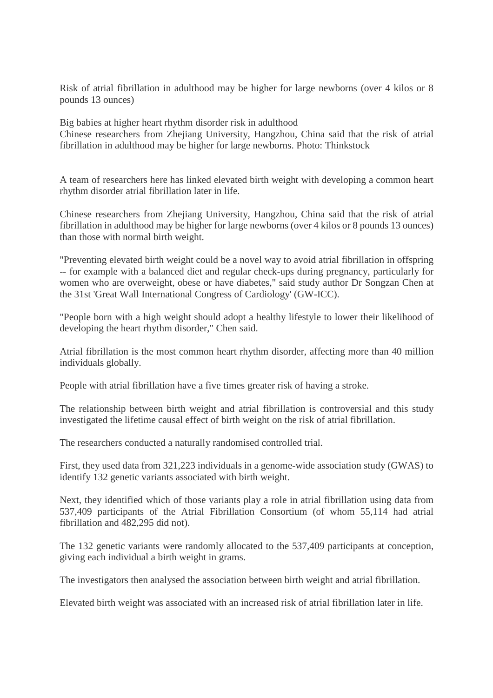Risk of atrial fibrillation in adulthood may be higher for large newborns (over 4 kilos or 8 pounds 13 ounces)

Big babies at higher heart rhythm disorder risk in adulthood

Chinese researchers from Zhejiang University, Hangzhou, China said that the risk of atrial fibrillation in adulthood may be higher for large newborns. Photo: Thinkstock

A team of researchers here has linked elevated birth weight with developing a common heart rhythm disorder atrial fibrillation later in life.

Chinese researchers from Zhejiang University, Hangzhou, China said that the risk of atrial fibrillation in adulthood may be higher for large newborns (over 4 kilos or 8 pounds 13 ounces) than those with normal birth weight.

"Preventing elevated birth weight could be a novel way to avoid atrial fibrillation in offspring -- for example with a balanced diet and regular check-ups during pregnancy, particularly for women who are overweight, obese or have diabetes," said study author Dr Songzan Chen at the 31st 'Great Wall International Congress of Cardiology' (GW-ICC).

"People born with a high weight should adopt a healthy lifestyle to lower their likelihood of developing the heart rhythm disorder," Chen said.

Atrial fibrillation is the most common heart rhythm disorder, affecting more than 40 million individuals globally.

People with atrial fibrillation have a five times greater risk of having a stroke.

The relationship between birth weight and atrial fibrillation is controversial and this study investigated the lifetime causal effect of birth weight on the risk of atrial fibrillation.

The researchers conducted a naturally randomised controlled trial.

First, they used data from 321,223 individuals in a genome-wide association study (GWAS) to identify 132 genetic variants associated with birth weight.

Next, they identified which of those variants play a role in atrial fibrillation using data from 537,409 participants of the Atrial Fibrillation Consortium (of whom 55,114 had atrial fibrillation and 482,295 did not).

The 132 genetic variants were randomly allocated to the 537,409 participants at conception, giving each individual a birth weight in grams.

The investigators then analysed the association between birth weight and atrial fibrillation.

Elevated birth weight was associated with an increased risk of atrial fibrillation later in life.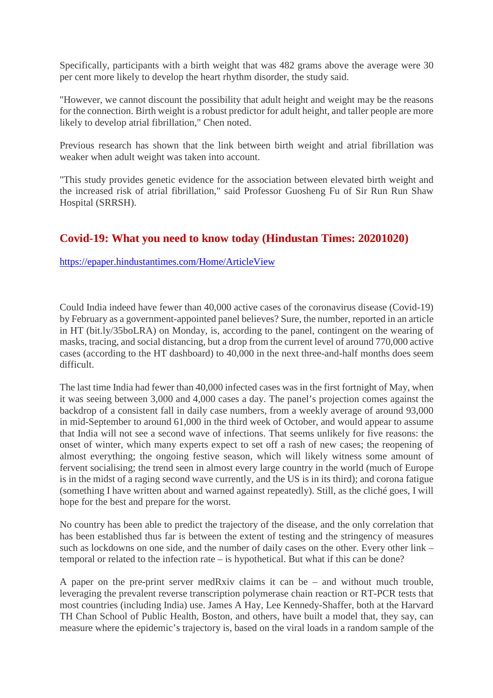Specifically, participants with a birth weight that was 482 grams above the average were 30 per cent more likely to develop the heart rhythm disorder, the study said.

"However, we cannot discount the possibility that adult height and weight may be the reasons for the connection. Birth weight is a robust predictor for adult height, and taller people are more likely to develop atrial fibrillation," Chen noted.

Previous research has shown that the link between birth weight and atrial fibrillation was weaker when adult weight was taken into account.

"This study provides genetic evidence for the association between elevated birth weight and the increased risk of atrial fibrillation," said Professor Guosheng Fu of Sir Run Run Shaw Hospital (SRRSH).

#### **Covid-19: What you need to know today (Hindustan Times: 20201020)**

https://epaper.hindustantimes.com/Home/ArticleView

Could India indeed have fewer than 40,000 active cases of the coronavirus disease (Covid-19) by February as a government-appointed panel believes? Sure, the number, reported in an article in HT (bit.ly/35boLRA) on Monday, is, according to the panel, contingent on the wearing of masks, tracing, and social distancing, but a drop from the current level of around 770,000 active cases (according to the HT dashboard) to 40,000 in the next three-and-half months does seem difficult.

The last time India had fewer than 40,000 infected cases was in the first fortnight of May, when it was seeing between 3,000 and 4,000 cases a day. The panel's projection comes against the backdrop of a consistent fall in daily case numbers, from a weekly average of around 93,000 in mid-September to around 61,000 in the third week of October, and would appear to assume that India will not see a second wave of infections. That seems unlikely for five reasons: the onset of winter, which many experts expect to set off a rash of new cases; the reopening of almost everything; the ongoing festive season, which will likely witness some amount of fervent socialising; the trend seen in almost every large country in the world (much of Europe is in the midst of a raging second wave currently, and the US is in its third); and corona fatigue (something I have written about and warned against repeatedly). Still, as the cliché goes, I will hope for the best and prepare for the worst.

No country has been able to predict the trajectory of the disease, and the only correlation that has been established thus far is between the extent of testing and the stringency of measures such as lockdowns on one side, and the number of daily cases on the other. Every other link – temporal or related to the infection rate – is hypothetical. But what if this can be done?

A paper on the pre-print server medRxiv claims it can be – and without much trouble, leveraging the prevalent reverse transcription polymerase chain reaction or RT-PCR tests that most countries (including India) use. James A Hay, Lee Kennedy-Shaffer, both at the Harvard TH Chan School of Public Health, Boston, and others, have built a model that, they say, can measure where the epidemic's trajectory is, based on the viral loads in a random sample of the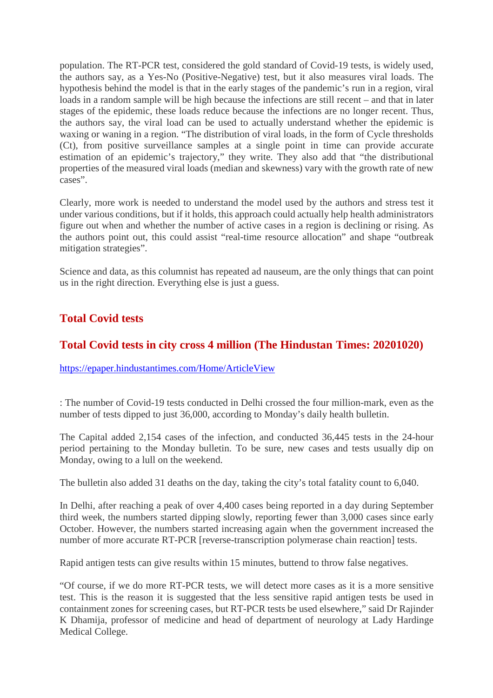population. The RT-PCR test, considered the gold standard of Covid-19 tests, is widely used, the authors say, as a Yes-No (Positive-Negative) test, but it also measures viral loads. The hypothesis behind the model is that in the early stages of the pandemic's run in a region, viral loads in a random sample will be high because the infections are still recent – and that in later stages of the epidemic, these loads reduce because the infections are no longer recent. Thus, the authors say, the viral load can be used to actually understand whether the epidemic is waxing or waning in a region. "The distribution of viral loads, in the form of Cycle thresholds (Ct), from positive surveillance samples at a single point in time can provide accurate estimation of an epidemic's trajectory," they write. They also add that "the distributional properties of the measured viral loads (median and skewness) vary with the growth rate of new cases".

Clearly, more work is needed to understand the model used by the authors and stress test it under various conditions, but if it holds, this approach could actually help health administrators figure out when and whether the number of active cases in a region is declining or rising. As the authors point out, this could assist "real-time resource allocation" and shape "outbreak mitigation strategies".

Science and data, as this columnist has repeated ad nauseum, are the only things that can point us in the right direction. Everything else is just a guess.

#### **Total Covid tests**

#### **Total Covid tests in city cross 4 million (The Hindustan Times: 20201020)**

https://epaper.hindustantimes.com/Home/ArticleView

: The number of Covid-19 tests conducted in Delhi crossed the four million-mark, even as the number of tests dipped to just 36,000, according to Monday's daily health bulletin.

The Capital added 2,154 cases of the infection, and conducted 36,445 tests in the 24-hour period pertaining to the Monday bulletin. To be sure, new cases and tests usually dip on Monday, owing to a lull on the weekend.

The bulletin also added 31 deaths on the day, taking the city's total fatality count to 6,040.

In Delhi, after reaching a peak of over 4,400 cases being reported in a day during September third week, the numbers started dipping slowly, reporting fewer than 3,000 cases since early October. However, the numbers started increasing again when the government increased the number of more accurate RT-PCR [reverse-transcription polymerase chain reaction] tests.

Rapid antigen tests can give results within 15 minutes, buttend to throw false negatives.

"Of course, if we do more RT-PCR tests, we will detect more cases as it is a more sensitive test. This is the reason it is suggested that the less sensitive rapid antigen tests be used in containment zones for screening cases, but RT-PCR tests be used elsewhere," said Dr Rajinder K Dhamija, professor of medicine and head of department of neurology at Lady Hardinge Medical College.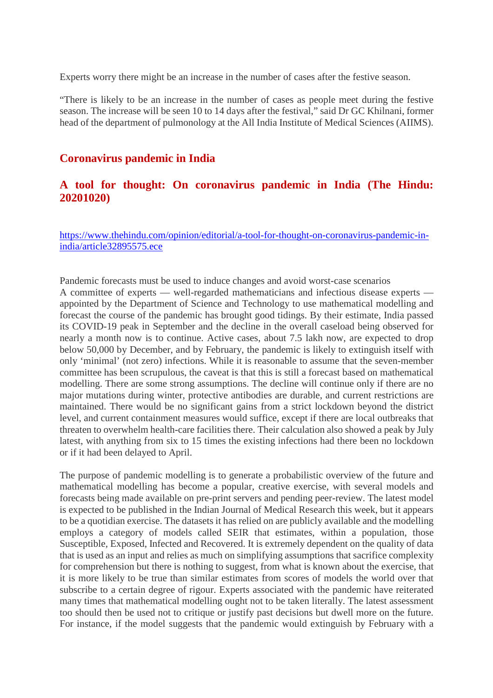Experts worry there might be an increase in the number of cases after the festive season.

"There is likely to be an increase in the number of cases as people meet during the festive season. The increase will be seen 10 to 14 days after the festival," said Dr GC Khilnani, former head of the department of pulmonology at the All India Institute of Medical Sciences (AIIMS).

#### **Coronavirus pandemic in India**

#### **A tool for thought: On coronavirus pandemic in India (The Hindu: 20201020)**

https://www.thehindu.com/opinion/editorial/a-tool-for-thought-on-coronavirus-pandemic-inindia/article32895575.ece

Pandemic forecasts must be used to induce changes and avoid worst-case scenarios A committee of experts — well-regarded mathematicians and infectious disease experts appointed by the Department of Science and Technology to use mathematical modelling and forecast the course of the pandemic has brought good tidings. By their estimate, India passed its COVID-19 peak in September and the decline in the overall caseload being observed for nearly a month now is to continue. Active cases, about 7.5 lakh now, are expected to drop below 50,000 by December, and by February, the pandemic is likely to extinguish itself with only 'minimal' (not zero) infections. While it is reasonable to assume that the seven-member committee has been scrupulous, the caveat is that this is still a forecast based on mathematical modelling. There are some strong assumptions. The decline will continue only if there are no major mutations during winter, protective antibodies are durable, and current restrictions are maintained. There would be no significant gains from a strict lockdown beyond the district level, and current containment measures would suffice, except if there are local outbreaks that threaten to overwhelm health-care facilities there. Their calculation also showed a peak by July latest, with anything from six to 15 times the existing infections had there been no lockdown or if it had been delayed to April.

The purpose of pandemic modelling is to generate a probabilistic overview of the future and mathematical modelling has become a popular, creative exercise, with several models and forecasts being made available on pre-print servers and pending peer-review. The latest model is expected to be published in the Indian Journal of Medical Research this week, but it appears to be a quotidian exercise. The datasets it has relied on are publicly available and the modelling employs a category of models called SEIR that estimates, within a population, those Susceptible, Exposed, Infected and Recovered. It is extremely dependent on the quality of data that is used as an input and relies as much on simplifying assumptions that sacrifice complexity for comprehension but there is nothing to suggest, from what is known about the exercise, that it is more likely to be true than similar estimates from scores of models the world over that subscribe to a certain degree of rigour. Experts associated with the pandemic have reiterated many times that mathematical modelling ought not to be taken literally. The latest assessment too should then be used not to critique or justify past decisions but dwell more on the future. For instance, if the model suggests that the pandemic would extinguish by February with a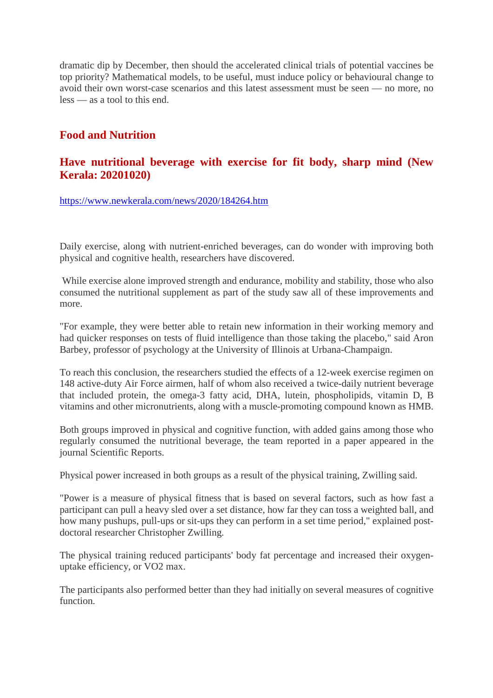dramatic dip by December, then should the accelerated clinical trials of potential vaccines be top priority? Mathematical models, to be useful, must induce policy or behavioural change to avoid their own worst-case scenarios and this latest assessment must be seen — no more, no less — as a tool to this end.

#### **Food and Nutrition**

#### **Have nutritional beverage with exercise for fit body, sharp mind (New Kerala: 20201020)**

https://www.newkerala.com/news/2020/184264.htm

Daily exercise, along with nutrient-enriched beverages, can do wonder with improving both physical and cognitive health, researchers have discovered.

While exercise alone improved strength and endurance, mobility and stability, those who also consumed the nutritional supplement as part of the study saw all of these improvements and more.

"For example, they were better able to retain new information in their working memory and had quicker responses on tests of fluid intelligence than those taking the placebo," said Aron Barbey, professor of psychology at the University of Illinois at Urbana-Champaign.

To reach this conclusion, the researchers studied the effects of a 12-week exercise regimen on 148 active-duty Air Force airmen, half of whom also received a twice-daily nutrient beverage that included protein, the omega-3 fatty acid, DHA, lutein, phospholipids, vitamin D, B vitamins and other micronutrients, along with a muscle-promoting compound known as HMB.

Both groups improved in physical and cognitive function, with added gains among those who regularly consumed the nutritional beverage, the team reported in a paper appeared in the journal Scientific Reports.

Physical power increased in both groups as a result of the physical training, Zwilling said.

"Power is a measure of physical fitness that is based on several factors, such as how fast a participant can pull a heavy sled over a set distance, how far they can toss a weighted ball, and how many pushups, pull-ups or sit-ups they can perform in a set time period," explained postdoctoral researcher Christopher Zwilling.

The physical training reduced participants' body fat percentage and increased their oxygenuptake efficiency, or VO2 max.

The participants also performed better than they had initially on several measures of cognitive function.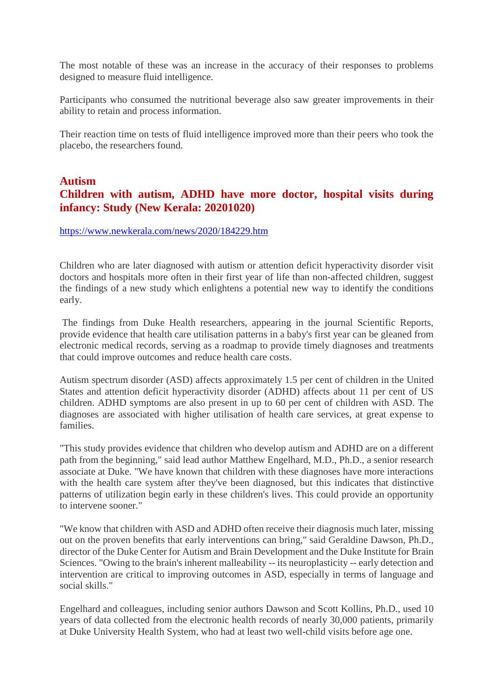The most notable of these was an increase in the accuracy of their responses to problems designed to measure fluid intelligence.

Participants who consumed the nutritional beverage also saw greater improvements in their ability to retain and process information.

Their reaction time on tests of fluid intelligence improved more than their peers who took the placebo, the researchers found.

#### **Autism Children with autism, ADHD have more doctor, hospital visits during infancy: Study (New Kerala: 20201020)**

#### https://www.newkerala.com/news/2020/184229.htm

Children who are later diagnosed with autism or attention deficit hyperactivity disorder visit doctors and hospitals more often in their first year of life than non-affected children, suggest the findings of a new study which enlightens a potential new way to identify the conditions early.

The findings from Duke Health researchers, appearing in the journal Scientific Reports, provide evidence that health care utilisation patterns in a baby's first year can be gleaned from electronic medical records, serving as a roadmap to provide timely diagnoses and treatments that could improve outcomes and reduce health care costs.

Autism spectrum disorder (ASD) affects approximately 1.5 per cent of children in the United States and attention deficit hyperactivity disorder (ADHD) affects about 11 per cent of US children. ADHD symptoms are also present in up to 60 per cent of children with ASD. The diagnoses are associated with higher utilisation of health care services, at great expense to families.

"This study provides evidence that children who develop autism and ADHD are on a different path from the beginning," said lead author Matthew Engelhard, M.D., Ph.D., a senior research associate at Duke. "We have known that children with these diagnoses have more interactions with the health care system after they've been diagnosed, but this indicates that distinctive patterns of utilization begin early in these children's lives. This could provide an opportunity to intervene sooner."

"We know that children with ASD and ADHD often receive their diagnosis much later, missing out on the proven benefits that early interventions can bring," said Geraldine Dawson, Ph.D., director of the Duke Center for Autism and Brain Development and the Duke Institute for Brain Sciences. "Owing to the brain's inherent malleability -- its neuroplasticity -- early detection and intervention are critical to improving outcomes in ASD, especially in terms of language and social skills."

Engelhard and colleagues, including senior authors Dawson and Scott Kollins, Ph.D., used 10 years of data collected from the electronic health records of nearly 30,000 patients, primarily at Duke University Health System, who had at least two well-child visits before age one.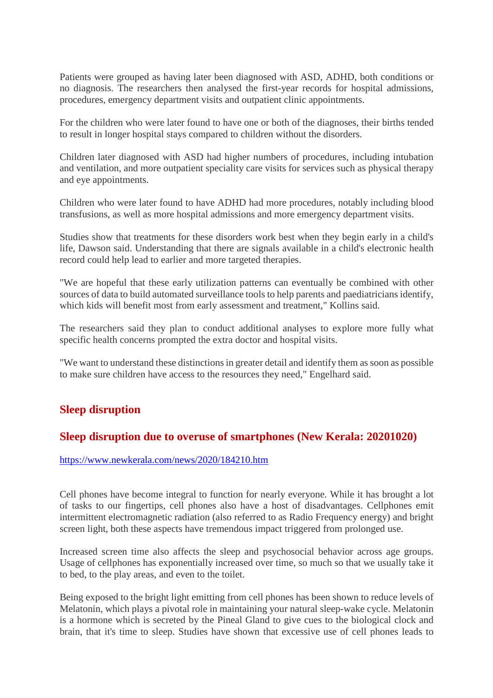Patients were grouped as having later been diagnosed with ASD, ADHD, both conditions or no diagnosis. The researchers then analysed the first-year records for hospital admissions, procedures, emergency department visits and outpatient clinic appointments.

For the children who were later found to have one or both of the diagnoses, their births tended to result in longer hospital stays compared to children without the disorders.

Children later diagnosed with ASD had higher numbers of procedures, including intubation and ventilation, and more outpatient speciality care visits for services such as physical therapy and eye appointments.

Children who were later found to have ADHD had more procedures, notably including blood transfusions, as well as more hospital admissions and more emergency department visits.

Studies show that treatments for these disorders work best when they begin early in a child's life, Dawson said. Understanding that there are signals available in a child's electronic health record could help lead to earlier and more targeted therapies.

"We are hopeful that these early utilization patterns can eventually be combined with other sources of data to build automated surveillance tools to help parents and paediatricians identify, which kids will benefit most from early assessment and treatment," Kollins said.

The researchers said they plan to conduct additional analyses to explore more fully what specific health concerns prompted the extra doctor and hospital visits.

"We want to understand these distinctions in greater detail and identify them as soon as possible to make sure children have access to the resources they need," Engelhard said.

#### **Sleep disruption**

#### **Sleep disruption due to overuse of smartphones (New Kerala: 20201020)**

#### https://www.newkerala.com/news/2020/184210.htm

Cell phones have become integral to function for nearly everyone. While it has brought a lot of tasks to our fingertips, cell phones also have a host of disadvantages. Cellphones emit intermittent electromagnetic radiation (also referred to as Radio Frequency energy) and bright screen light, both these aspects have tremendous impact triggered from prolonged use.

Increased screen time also affects the sleep and psychosocial behavior across age groups. Usage of cellphones has exponentially increased over time, so much so that we usually take it to bed, to the play areas, and even to the toilet.

Being exposed to the bright light emitting from cell phones has been shown to reduce levels of Melatonin, which plays a pivotal role in maintaining your natural sleep-wake cycle. Melatonin is a hormone which is secreted by the Pineal Gland to give cues to the biological clock and brain, that it's time to sleep. Studies have shown that excessive use of cell phones leads to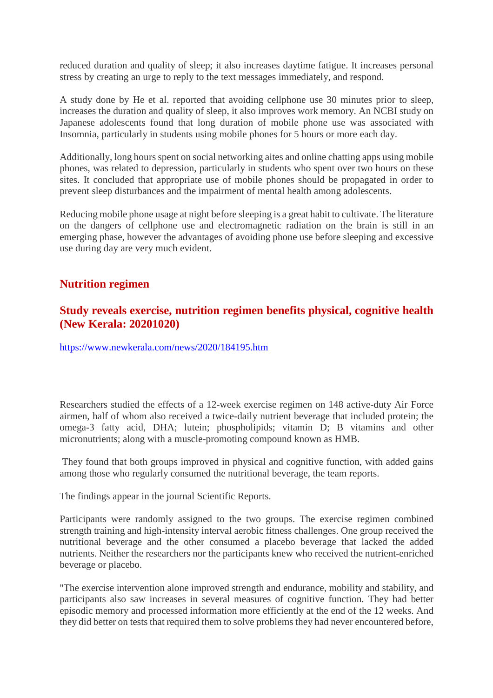reduced duration and quality of sleep; it also increases daytime fatigue. It increases personal stress by creating an urge to reply to the text messages immediately, and respond.

A study done by He et al. reported that avoiding cellphone use 30 minutes prior to sleep, increases the duration and quality of sleep, it also improves work memory. An NCBI study on Japanese adolescents found that long duration of mobile phone use was associated with Insomnia, particularly in students using mobile phones for 5 hours or more each day.

Additionally, long hours spent on social networking aites and online chatting apps using mobile phones, was related to depression, particularly in students who spent over two hours on these sites. It concluded that appropriate use of mobile phones should be propagated in order to prevent sleep disturbances and the impairment of mental health among adolescents.

Reducing mobile phone usage at night before sleeping is a great habit to cultivate. The literature on the dangers of cellphone use and electromagnetic radiation on the brain is still in an emerging phase, however the advantages of avoiding phone use before sleeping and excessive use during day are very much evident.

#### **Nutrition regimen**

#### **Study reveals exercise, nutrition regimen benefits physical, cognitive health (New Kerala: 20201020)**

https://www.newkerala.com/news/2020/184195.htm

Researchers studied the effects of a 12-week exercise regimen on 148 active-duty Air Force airmen, half of whom also received a twice-daily nutrient beverage that included protein; the omega-3 fatty acid, DHA; lutein; phospholipids; vitamin D; B vitamins and other micronutrients; along with a muscle-promoting compound known as HMB.

They found that both groups improved in physical and cognitive function, with added gains among those who regularly consumed the nutritional beverage, the team reports.

The findings appear in the journal Scientific Reports.

Participants were randomly assigned to the two groups. The exercise regimen combined strength training and high-intensity interval aerobic fitness challenges. One group received the nutritional beverage and the other consumed a placebo beverage that lacked the added nutrients. Neither the researchers nor the participants knew who received the nutrient-enriched beverage or placebo.

"The exercise intervention alone improved strength and endurance, mobility and stability, and participants also saw increases in several measures of cognitive function. They had better episodic memory and processed information more efficiently at the end of the 12 weeks. And they did better on tests that required them to solve problems they had never encountered before,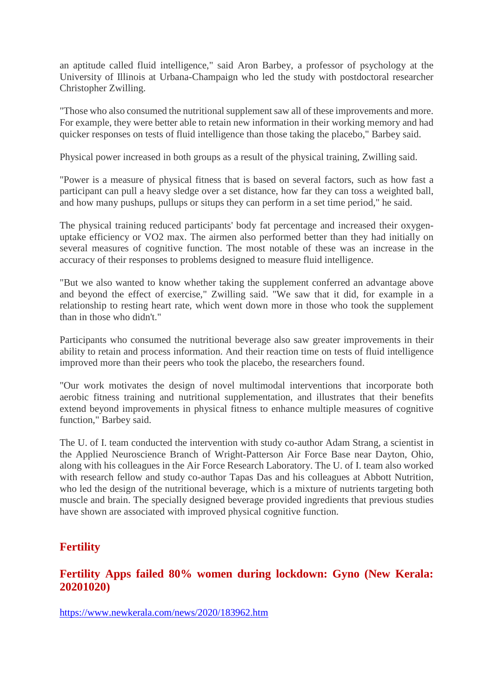an aptitude called fluid intelligence," said Aron Barbey, a professor of psychology at the University of Illinois at Urbana-Champaign who led the study with postdoctoral researcher Christopher Zwilling.

"Those who also consumed the nutritional supplement saw all of these improvements and more. For example, they were better able to retain new information in their working memory and had quicker responses on tests of fluid intelligence than those taking the placebo," Barbey said.

Physical power increased in both groups as a result of the physical training, Zwilling said.

"Power is a measure of physical fitness that is based on several factors, such as how fast a participant can pull a heavy sledge over a set distance, how far they can toss a weighted ball, and how many pushups, pullups or situps they can perform in a set time period," he said.

The physical training reduced participants' body fat percentage and increased their oxygenuptake efficiency or VO2 max. The airmen also performed better than they had initially on several measures of cognitive function. The most notable of these was an increase in the accuracy of their responses to problems designed to measure fluid intelligence.

"But we also wanted to know whether taking the supplement conferred an advantage above and beyond the effect of exercise," Zwilling said. "We saw that it did, for example in a relationship to resting heart rate, which went down more in those who took the supplement than in those who didn't."

Participants who consumed the nutritional beverage also saw greater improvements in their ability to retain and process information. And their reaction time on tests of fluid intelligence improved more than their peers who took the placebo, the researchers found.

"Our work motivates the design of novel multimodal interventions that incorporate both aerobic fitness training and nutritional supplementation, and illustrates that their benefits extend beyond improvements in physical fitness to enhance multiple measures of cognitive function," Barbey said.

The U. of I. team conducted the intervention with study co-author Adam Strang, a scientist in the Applied Neuroscience Branch of Wright-Patterson Air Force Base near Dayton, Ohio, along with his colleagues in the Air Force Research Laboratory. The U. of I. team also worked with research fellow and study co-author Tapas Das and his colleagues at Abbott Nutrition, who led the design of the nutritional beverage, which is a mixture of nutrients targeting both muscle and brain. The specially designed beverage provided ingredients that previous studies have shown are associated with improved physical cognitive function.

#### **Fertility**

#### **Fertility Apps failed 80% women during lockdown: Gyno (New Kerala: 20201020)**

https://www.newkerala.com/news/2020/183962.htm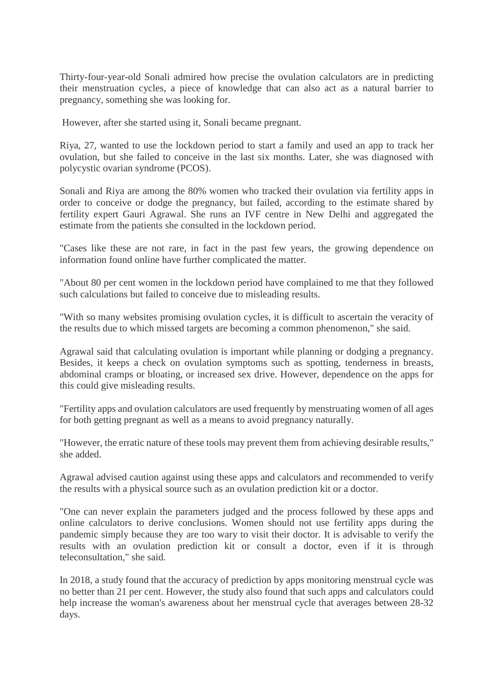Thirty-four-year-old Sonali admired how precise the ovulation calculators are in predicting their menstruation cycles, a piece of knowledge that can also act as a natural barrier to pregnancy, something she was looking for.

However, after she started using it, Sonali became pregnant.

Riya, 27, wanted to use the lockdown period to start a family and used an app to track her ovulation, but she failed to conceive in the last six months. Later, she was diagnosed with polycystic ovarian syndrome (PCOS).

Sonali and Riya are among the 80% women who tracked their ovulation via fertility apps in order to conceive or dodge the pregnancy, but failed, according to the estimate shared by fertility expert Gauri Agrawal. She runs an IVF centre in New Delhi and aggregated the estimate from the patients she consulted in the lockdown period.

"Cases like these are not rare, in fact in the past few years, the growing dependence on information found online have further complicated the matter.

"About 80 per cent women in the lockdown period have complained to me that they followed such calculations but failed to conceive due to misleading results.

"With so many websites promising ovulation cycles, it is difficult to ascertain the veracity of the results due to which missed targets are becoming a common phenomenon," she said.

Agrawal said that calculating ovulation is important while planning or dodging a pregnancy. Besides, it keeps a check on ovulation symptoms such as spotting, tenderness in breasts, abdominal cramps or bloating, or increased sex drive. However, dependence on the apps for this could give misleading results.

"Fertility apps and ovulation calculators are used frequently by menstruating women of all ages for both getting pregnant as well as a means to avoid pregnancy naturally.

"However, the erratic nature of these tools may prevent them from achieving desirable results," she added.

Agrawal advised caution against using these apps and calculators and recommended to verify the results with a physical source such as an ovulation prediction kit or a doctor.

"One can never explain the parameters judged and the process followed by these apps and online calculators to derive conclusions. Women should not use fertility apps during the pandemic simply because they are too wary to visit their doctor. It is advisable to verify the results with an ovulation prediction kit or consult a doctor, even if it is through teleconsultation," she said.

In 2018, a study found that the accuracy of prediction by apps monitoring menstrual cycle was no better than 21 per cent. However, the study also found that such apps and calculators could help increase the woman's awareness about her menstrual cycle that averages between 28-32 days.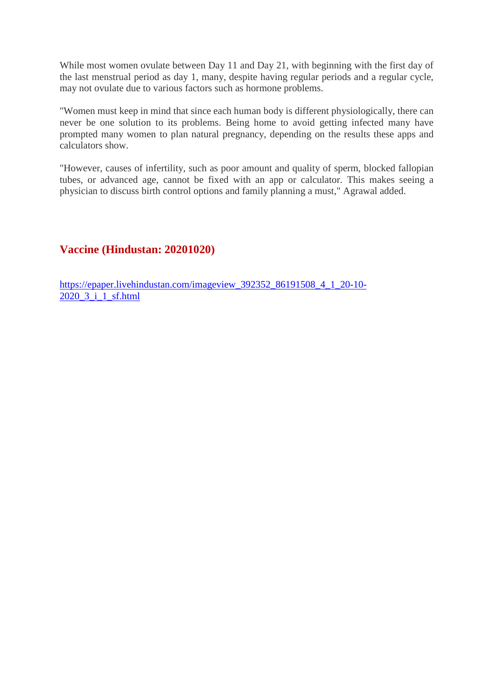While most women ovulate between Day 11 and Day 21, with beginning with the first day of the last menstrual period as day 1, many, despite having regular periods and a regular cycle, may not ovulate due to various factors such as hormone problems.

"Women must keep in mind that since each human body is different physiologically, there can never be one solution to its problems. Being home to avoid getting infected many have prompted many women to plan natural pregnancy, depending on the results these apps and calculators show.

"However, causes of infertility, such as poor amount and quality of sperm, blocked fallopian tubes, or advanced age, cannot be fixed with an app or calculator. This makes seeing a physician to discuss birth control options and family planning a must," Agrawal added.

#### **Vaccine (Hindustan: 20201020)**

https://epaper.livehindustan.com/imageview\_392352\_86191508\_4\_1\_20-10- 2020\_3\_i\_1\_sf.html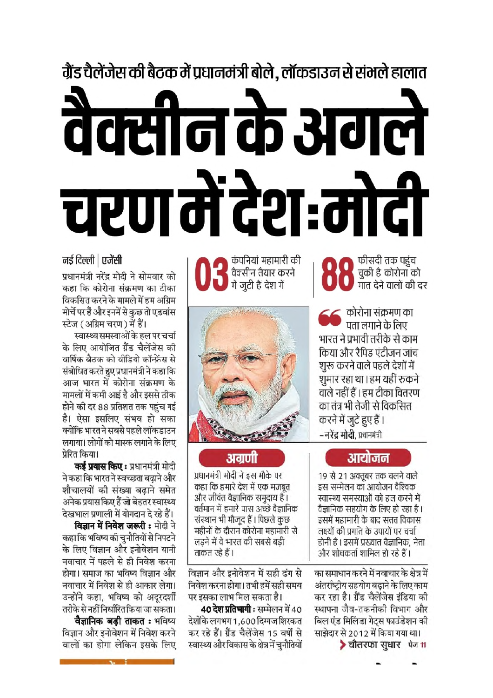# ग्रैंड चैलेंजेस की बैटक में प्रधानमंत्री बोले, लॉकडाउन से संभले हालात वैक्सीन के अगले चरण में देश:मोटी

#### नई दिल्ली | एजेंसी

प्रधानमंत्री नरेंद्र मोदी ने सोमवार को कहा कि कोरोना संक्रमण का टीका विकसित करने के मामले में हम अग्रिम मोर्चे पर हैं और इनमें से कुछ तो एडवांस

स्टेज (अग्रिम चरण) में हैं। स्वास्थ्य समस्याओं के हल पर चर्चा के लिए आयोजित ग्रैंड चैलेंजेस की वार्षिक बैठक को वीडियो कॉन्फ्रेंस से संबोधित करते हुए प्रधानमंत्री ने कहा कि आज भारत में कोरोना संक्रमण के मामलों में कमी आई है और इससे ठीक होने की दर 88 प्रतिशत तक पहुंच गई है। ऐसा इसलिए संभव हो सका क्योंकि भारत ने सबसे पहले लॉकडाउन लगाया। लोगों को मास्क लगाने के लिए प्रेरित किया।

**कई प्रयास किए :** प्रधानमंत्री मोदी ने कहा कि भारत ने स्वच्छता बढाने और शौचालयों की संख्या बढाने समेत अनेक प्रयास किए हैं जो बेहतर स्वास्थ्य देखभाल प्रणाली में योगदान दे रहे हैं।

विज्ञान में निवेश जरूरी : मोदी ने कहा कि भविष्य की चुनौतियों से निपटने के लिए विज्ञान और इनोवेशन यानी नवाचार में पहले से ही निवेश करना होगा। समाज का भविष्य विज्ञान और नवाचार में निवेश से ही आकार लेगा। उन्होंने कहा, भविष्य को अदरदर्शी तरीके से नहीं निर्धारित किया जा सकता। वैज्ञानिक बडी ताकत : भविष्य विज्ञान और इनोवेशन में निवेश करने वालों का होगा लेकिन इसके लिए

कंपनियां महामारी की वैक्सीन तैयार करने में जुटी हैं देश में



### अग्रणी

प्रधानमंत्री मोदी ने इस मौके पर कहा कि हमारे देश में एक मजबत और जीवंत वैज्ञानिक समुदाय है। वर्तमान में हमारे पास अच्छे वैज्ञानिक संस्थान भी मौजूद हैं। पिछले कुछ महीनों के दौरान कोरोना महामारी से लडने में वे भारत की सबसे बड़ी ताकत रहे हैं।

विज्ञान और इनोवेशन में सही ढंग से निवेश करना होगा। तभी हमें सही समय पर इसका लाभ मिल सकता है।

40 देश प्रतिभागी: सम्मेलन में 40 देशोंके लगभग 1,600 दिग्गज शिरकत कर रहे हैं। ग्रैंड चैलेंजेस 15 वर्षों से स्वास्थ्य और विकास के क्षेत्र में चुनौतियों

फीसदी तक पहुंच चुकी है कोरोना को मात देने वालों की दर

**€€** कोरोना संक्रमण का<br>■ पता लगाने के लिए भारत ने प्रभावी तरीके से काम किया और रैपिड एंटीजन जांच शुरू करने वाले पहले देशों में शुमार रहा था। हम यहीं रुकने वाले नहीं हैं । हम टीका वितरण का तंत्र भी तेजी से विकसित करने में जुटे हुए हैं। **– नरेंद्र मोदी**, प्रधानमंत्री

### आयोजन

19 से 21 अक्तूबर तक चलने वाले इस सम्मेलन का आयोजन वैश्विक स्वास्थ्य समस्याओं को हल करने में वैज्ञानिक सहयोग के लिए हो रहा है। इसमें महामारी के बाद सतत विकास लक्ष्यों की प्रगति के उपायों पर चर्चा होनी है । इसमें प्रख्यात वैज्ञानिक, नेता और शोधकर्ता शामिल हो रहे हैं।

का समाधान करने में नवाचार के क्षेत्र में अंतर्राष्टीय सहयोग बढाने के लिए काम कर रहा है। ग्रैंड चैलेंजेस इंडिया की स्थापना जैव-तकनीकी विभाग और बिल एंड मिलिंडा गेटस फाउंडेशन की साझेदार से 2012 में किया गया था। > चौतरफा सुधार पेज 11